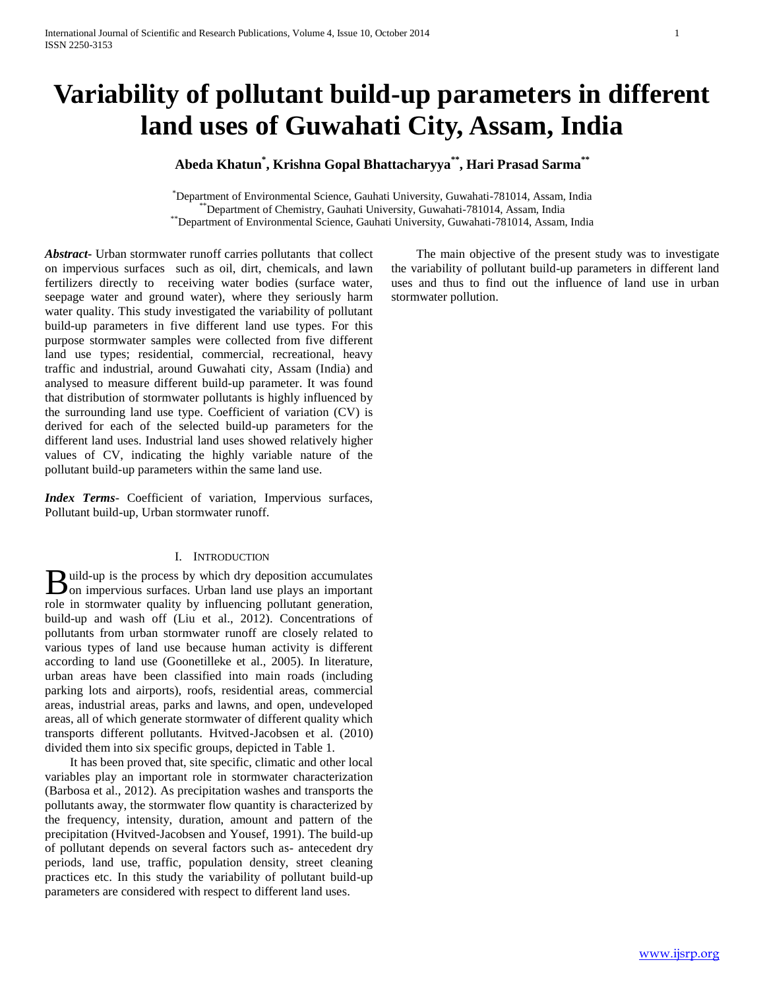# **Variability of pollutant build-up parameters in different land uses of Guwahati City, Assam, India**

# **Abeda Khatun\* , Krishna Gopal Bhattacharyya\*\*, Hari Prasad Sarma\*\***

\*Department of Environmental Science, Gauhati University, Guwahati-781014, Assam, India \*\*Department of Chemistry, Gauhati University, Guwahati-781014, Assam, India \*\*Department of Environmental Science, Gauhati University, Guwahati-781014, Assam, India

*Abstract***-** Urban stormwater runoff carries pollutants that collect on impervious surfaces such as oil, dirt, chemicals, and lawn fertilizers directly to receiving water bodies (surface water, seepage water and ground water), where they seriously harm water quality. This study investigated the variability of pollutant build-up parameters in five different land use types. For this purpose stormwater samples were collected from five different land use types; residential, commercial, recreational, heavy traffic and industrial, around Guwahati city, Assam (India) and analysed to measure different build-up parameter. It was found that distribution of stormwater pollutants is highly influenced by the surrounding land use type. Coefficient of variation (CV) is derived for each of the selected build-up parameters for the different land uses. Industrial land uses showed relatively higher values of CV, indicating the highly variable nature of the pollutant build-up parameters within the same land use.

*Index Terms*- Coefficient of variation, Impervious surfaces, Pollutant build-up, Urban stormwater runoff.

# I. INTRODUCTION

uild-up is the process by which dry deposition accumulates **B** uild-up is the process by which dry deposition accumulates on impervious surfaces. Urban land use plays an important role in stormwater quality by influencing pollutant generation, build-up and wash off (Liu et al., 2012). Concentrations of pollutants from urban stormwater runoff are closely related to various types of land use because human activity is different according to land use (Goonetilleke et al., 2005). In literature, urban areas have been classified into main roads (including parking lots and airports), roofs, residential areas, commercial areas, industrial areas, parks and lawns, and open, undeveloped areas, all of which generate stormwater of different quality which transports different pollutants. Hvitved-Jacobsen et al. (2010) divided them into six specific groups, depicted in Table 1.

 It has been proved that, site specific, climatic and other local variables play an important role in stormwater characterization (Barbosa et al., 2012). As precipitation washes and transports the pollutants away, the stormwater flow quantity is characterized by the frequency, intensity, duration, amount and pattern of the precipitation (Hvitved-Jacobsen and Yousef, 1991). The build-up of pollutant depends on several factors such as- antecedent dry periods, land use, traffic, population density, street cleaning practices etc. In this study the variability of pollutant build-up parameters are considered with respect to different land uses.

 The main objective of the present study was to investigate the variability of pollutant build-up parameters in different land uses and thus to find out the influence of land use in urban stormwater pollution.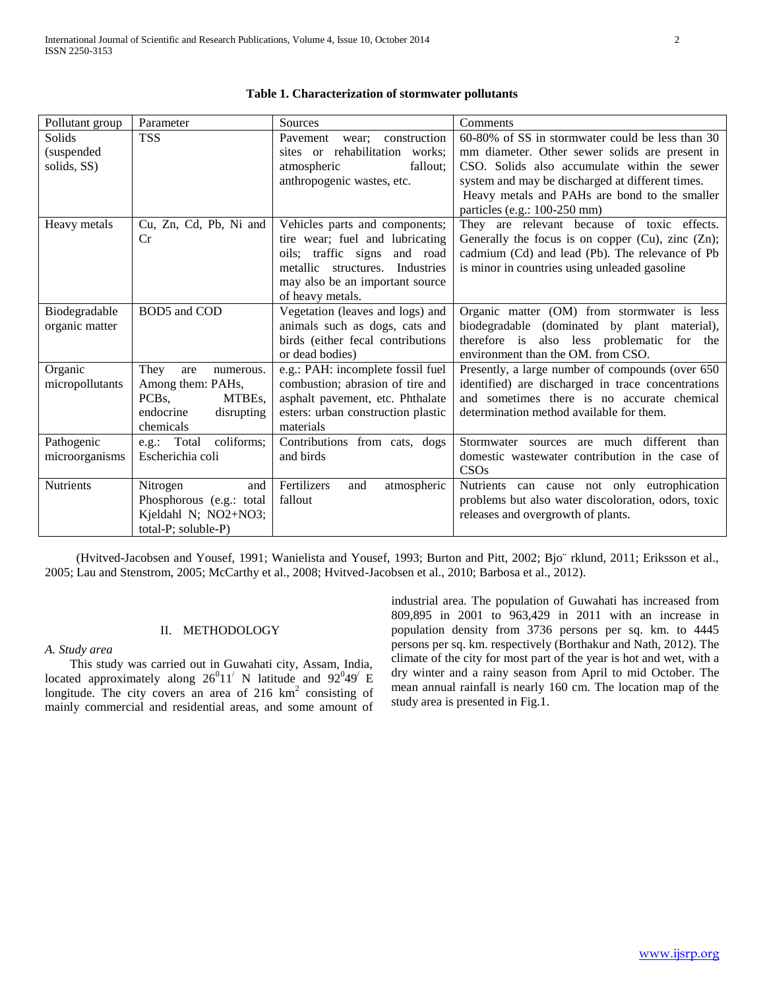| Pollutant group | Parameter                    | <b>Sources</b>                     | Comments                                                |
|-----------------|------------------------------|------------------------------------|---------------------------------------------------------|
| Solids          | <b>TSS</b>                   | Pavement<br>construction<br>wear:  | 60-80% of SS in stormwater could be less than 30        |
| (suspended      |                              | sites or rehabilitation works;     | mm diameter. Other sewer solids are present in          |
| solids, SS)     |                              | fallout;<br>atmospheric            | CSO. Solids also accumulate within the sewer            |
|                 |                              | anthropogenic wastes, etc.         | system and may be discharged at different times.        |
|                 |                              |                                    | Heavy metals and PAHs are bond to the smaller           |
|                 |                              |                                    | particles (e.g.: 100-250 mm)                            |
| Heavy metals    | Cu, Zn, Cd, Pb, Ni and       | Vehicles parts and components;     | They are relevant because of toxic effects.             |
|                 | <b>Cr</b>                    | tire wear; fuel and lubricating    | Generally the focus is on copper $(Cu)$ , zinc $(Zn)$ ; |
|                 |                              | oils; traffic signs<br>and road    | cadmium (Cd) and lead (Pb). The relevance of Pb         |
|                 |                              | metallic structures. Industries    | is minor in countries using unleaded gasoline           |
|                 |                              | may also be an important source    |                                                         |
|                 |                              | of heavy metals.                   |                                                         |
| Biodegradable   | BOD5 and COD                 | Vegetation (leaves and logs) and   | Organic matter (OM) from stormwater is less             |
| organic matter  |                              | animals such as dogs, cats and     | biodegradable (dominated by plant material),            |
|                 |                              | birds (either fecal contributions  | therefore is also less problematic for the              |
|                 |                              | or dead bodies)                    | environment than the OM. from CSO.                      |
| Organic         | They<br>are<br>numerous.     | e.g.: PAH: incomplete fossil fuel  | Presently, a large number of compounds (over 650)       |
| micropollutants | Among them: PAHs,            | combustion; abrasion of tire and   | identified) are discharged in trace concentrations      |
|                 | MTBEs.<br>PCB <sub>s</sub> . | asphalt pavement, etc. Phthalate   | and sometimes there is no accurate chemical             |
|                 | endocrine<br>disrupting      | esters: urban construction plastic | determination method available for them.                |
|                 | chemicals                    | materials                          |                                                         |
| Pathogenic      | coliforms;<br>e.g.: Total    | Contributions from cats, dogs      | Stormwater sources are much different than              |
| microorganisms  | Escherichia coli             | and birds                          | domestic wastewater contribution in the case of         |
|                 |                              |                                    | CSOs                                                    |
| Nutrients       | Nitrogen<br>and              | Fertilizers<br>and<br>atmospheric  | Nutrients can cause not only eutrophication             |
|                 | Phosphorous (e.g.: total     | fallout                            | problems but also water discoloration, odors, toxic     |
|                 | Kjeldahl N; NO2+NO3;         |                                    | releases and overgrowth of plants.                      |
|                 | total-P; soluble-P)          |                                    |                                                         |

|  | Table 1. Characterization of stormwater pollutants |  |
|--|----------------------------------------------------|--|
|--|----------------------------------------------------|--|

 (Hvitved-Jacobsen and Yousef, 1991; Wanielista and Yousef, 1993; Burton and Pitt, 2002; Bjo¨ rklund, 2011; Eriksson et al., 2005; Lau and Stenstrom, 2005; McCarthy et al., 2008; Hvitved-Jacobsen et al., 2010; Barbosa et al., 2012).

# II. METHODOLOGY

*A. Study area* 

 This study was carried out in Guwahati city, Assam, India, located approximately along  $26^011'$  N latitude and  $92^049'$  E longitude. The city covers an area of 216  $km<sup>2</sup>$  consisting of mainly commercial and residential areas, and some amount of

industrial area. The population of Guwahati has increased from 809,895 in 2001 to 963,429 in 2011 with an increase in population density from 3736 persons per sq. km. to 4445 persons per sq. km. respectively (Borthakur and Nath, 2012). The climate of the city for most part of the year is hot and wet, with a dry winter and a rainy season from April to mid October. The mean annual rainfall is nearly 160 cm. The location map of the study area is presented in Fig.1.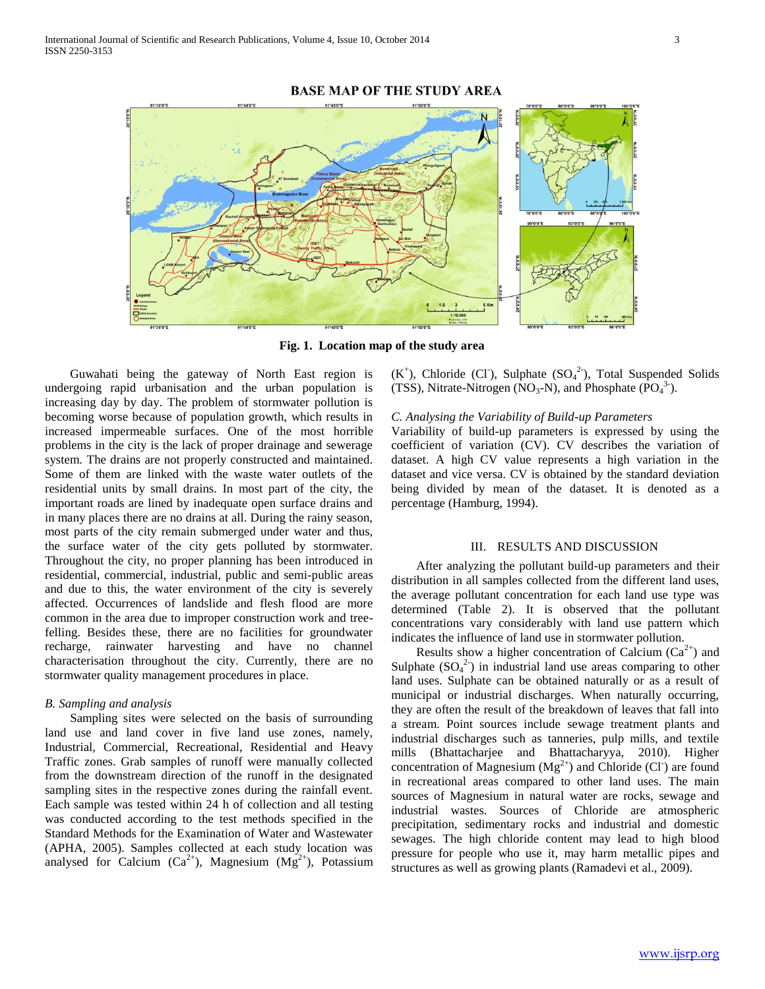

# **BASE MAP OF THE STUDY AREA**

**Fig. 1. Location map of the study area**

 Guwahati being the gateway of North East region is undergoing rapid urbanisation and the urban population is increasing day by day. The problem of stormwater pollution is becoming worse because of population growth, which results in increased impermeable surfaces. One of the most horrible problems in the city is the lack of proper drainage and sewerage system. The drains are not properly constructed and maintained. Some of them are linked with the waste water outlets of the residential units by small drains. In most part of the city, the important roads are lined by inadequate open surface drains and in many places there are no drains at all. During the rainy season, most parts of the city remain submerged under water and thus, the surface water of the city gets polluted by stormwater. Throughout the city, no proper planning has been introduced in residential, commercial, industrial, public and semi-public areas and due to this, the water environment of the city is severely affected. Occurrences of landslide and flesh flood are more common in the area due to improper construction work and treefelling. Besides these, there are no facilities for groundwater recharge, rainwater harvesting and have no channel characterisation throughout the city. Currently, there are no stormwater quality management procedures in place.

#### *B. Sampling and analysis*

 Sampling sites were selected on the basis of surrounding land use and land cover in five land use zones, namely, Industrial, Commercial, Recreational, Residential and Heavy Traffic zones. Grab samples of runoff were manually collected from the downstream direction of the runoff in the designated sampling sites in the respective zones during the rainfall event. Each sample was tested within 24 h of collection and all testing was conducted according to the test methods specified in the Standard Methods for the Examination of Water and Wastewater (APHA, 2005). Samples collected at each study location was analysed for Calcium  $(Ca^{2+})$ , Magnesium  $(Mg^{2+})$ , Potassium  $(K^+)$ , Chloride (Cl<sup>-</sup>), Sulphate (SO<sub>4</sub><sup>2</sup>), Total Suspended Solids (TSS), Nitrate-Nitrogen ( $\overline{NO_3\text{-}N}$ ), and Phosphate ( $\overline{PO_4}^{3-}$ ).

## *C. Analysing the Variability of Build-up Parameters*

Variability of build-up parameters is expressed by using the coefficient of variation (CV). CV describes the variation of dataset. A high CV value represents a high variation in the dataset and vice versa. CV is obtained by the standard deviation being divided by mean of the dataset. It is denoted as a percentage (Hamburg, 1994).

#### III. RESULTS AND DISCUSSION

 After analyzing the pollutant build-up parameters and their distribution in all samples collected from the different land uses, the average pollutant concentration for each land use type was determined (Table 2). It is observed that the pollutant concentrations vary considerably with land use pattern which indicates the influence of land use in stormwater pollution.

Results show a higher concentration of Calcium  $(Ca^{2+})$  and Sulphate  $(SO_4^2)$  in industrial land use areas comparing to other land uses. Sulphate can be obtained naturally or as a result of municipal or industrial discharges. When naturally occurring, they are often the result of the breakdown of leaves that fall into a stream. Point sources include sewage treatment plants and industrial discharges such as tanneries, pulp mills, and textile mills (Bhattacharjee and Bhattacharyya, 2010). Higher concentration of Magnesium  $(Mg^{2+})$  and Chloride (Cl) are found in recreational areas compared to other land uses. The main sources of Magnesium in natural water are rocks, sewage and industrial wastes. Sources of Chloride are atmospheric precipitation, sedimentary rocks and industrial and domestic sewages. The high chloride content may lead to high blood pressure for people who use it, may harm metallic pipes and structures as well as growing plants (Ramadevi et al., 2009).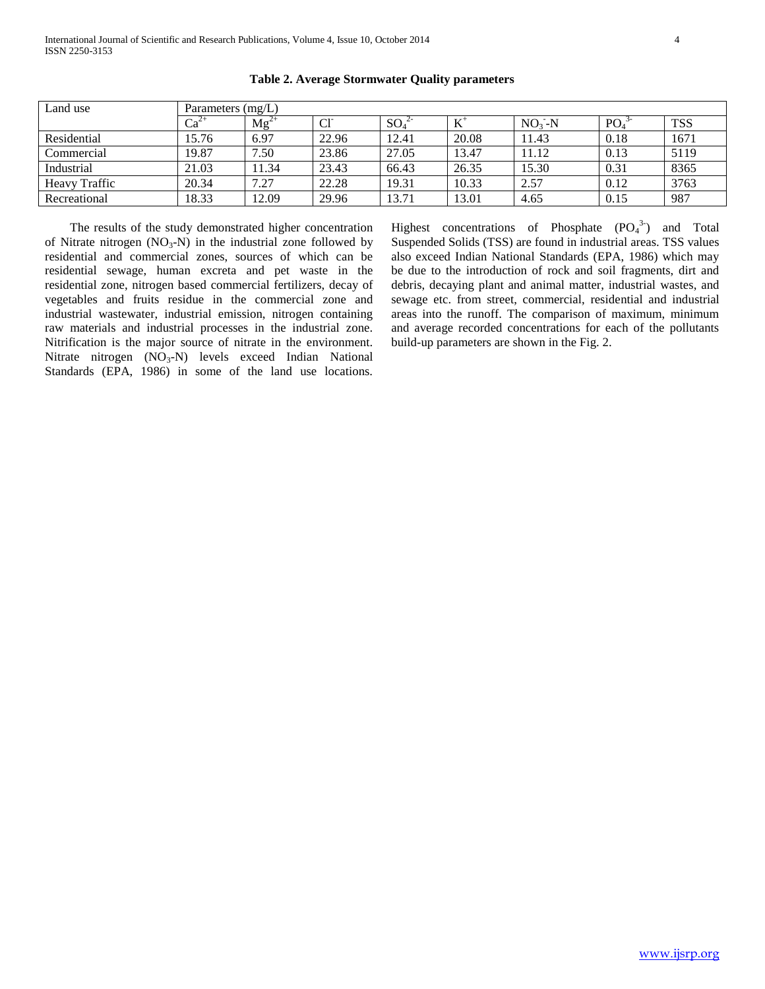| Land use             | Parameters (mg/L) |           |                 |                 |       |         |                 |            |  |  |
|----------------------|-------------------|-----------|-----------------|-----------------|-------|---------|-----------------|------------|--|--|
|                      | $Ca^2$            | $Mg^{2+}$ | Cl <sup>-</sup> | SO <sub>4</sub> | $L^+$ | $NO3-N$ | PO <sub>4</sub> | <b>TSS</b> |  |  |
| Residential          | 15.76             | 6.97      | 22.96           | 12.41           | 20.08 | 11.43   | 0.18            | 1671       |  |  |
| Commercial           | 19.87             | 7.50      | 23.86           | 27.05           | 13.47 | 11.12   | 0.13            | 5119       |  |  |
| Industrial           | 21.03             | 11.34     | 23.43           | 66.43           | 26.35 | 15.30   | 0.31            | 8365       |  |  |
| <b>Heavy Traffic</b> | 20.34             | 7.27      | 22.28           | 19.31           | 10.33 | 2.57    | 0.12            | 3763       |  |  |
| Recreational         | 18.33             | 12.09     | 29.96           | 13.71           | 13.01 | 4.65    | 0.15            | 987        |  |  |

**Table 2. Average Stormwater Quality parameters**

 The results of the study demonstrated higher concentration of Nitrate nitrogen  $(NO_3-N)$  in the industrial zone followed by residential and commercial zones, sources of which can be residential sewage, human excreta and pet waste in the residential zone, nitrogen based commercial fertilizers, decay of vegetables and fruits residue in the commercial zone and industrial wastewater, industrial emission, nitrogen containing raw materials and industrial processes in the industrial zone. Nitrification is the major source of nitrate in the environment. Nitrate nitrogen (NO<sub>3</sub>-N) levels exceed Indian National Standards (EPA, 1986) in some of the land use locations.

Highest concentrations of Phosphate  $(PO_4^3)$  and Total Suspended Solids (TSS) are found in industrial areas. TSS values also exceed Indian National Standards (EPA, 1986) which may be due to the introduction of rock and soil fragments, dirt and debris, decaying plant and animal matter, industrial wastes, and sewage etc. from street, commercial, residential and industrial areas into the runoff. The comparison of maximum, minimum and average recorded concentrations for each of the pollutants build-up parameters are shown in the Fig. 2.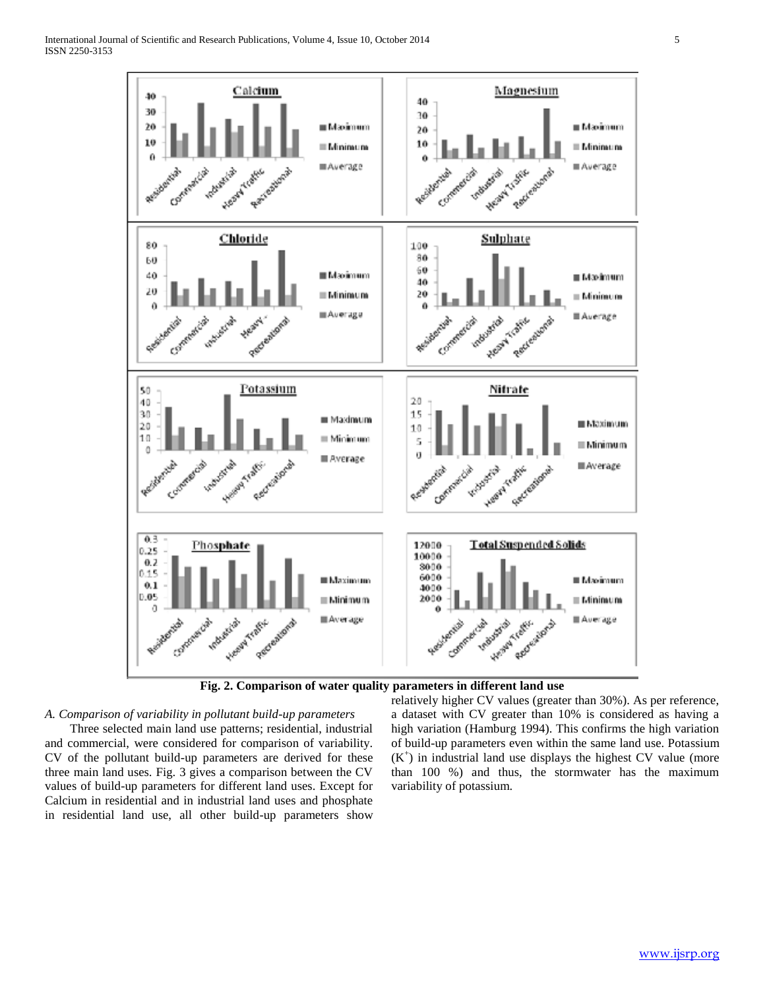



#### *A. Comparison of variability in pollutant build-up parameters*

 Three selected main land use patterns; residential, industrial and commercial, were considered for comparison of variability. CV of the pollutant build-up parameters are derived for these three main land uses. Fig. 3 gives a comparison between the CV values of build-up parameters for different land uses. Except for Calcium in residential and in industrial land uses and phosphate in residential land use, all other build-up parameters show

relatively higher CV values (greater than 30%). As per reference, a dataset with CV greater than 10% is considered as having a high variation (Hamburg 1994). This confirms the high variation of build-up parameters even within the same land use. Potassium  $(K<sup>+</sup>)$  in industrial land use displays the highest CV value (more than 100 %) and thus, the stormwater has the maximum variability of potassium.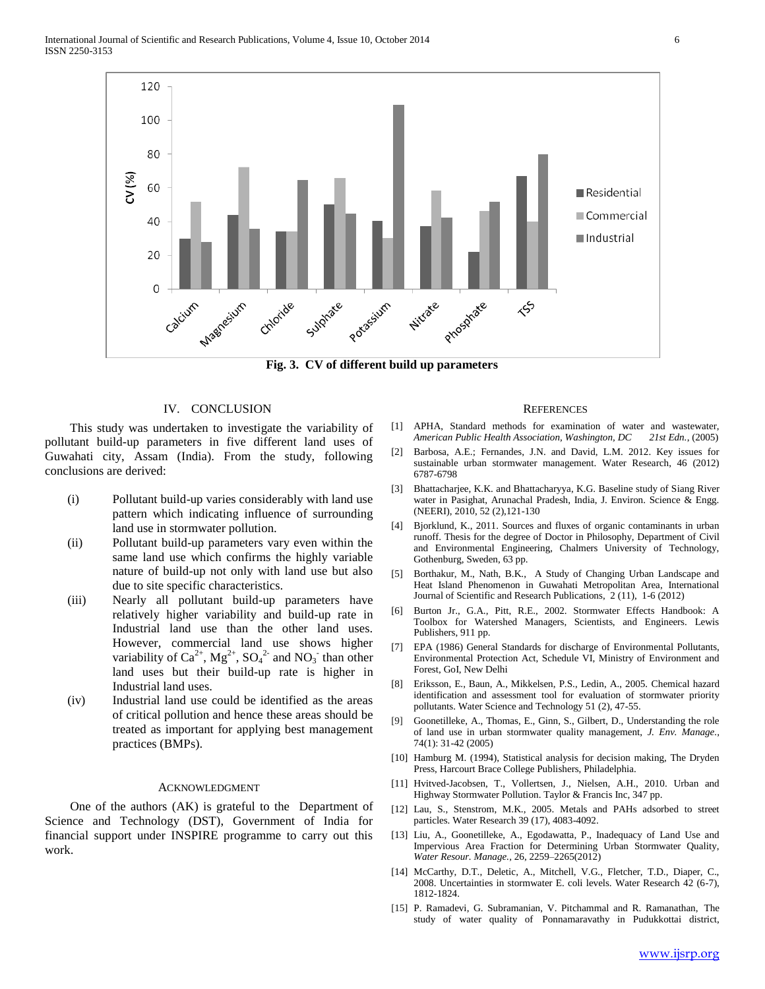

**Fig. 3. CV of different build up parameters**

# IV. CONCLUSION

 This study was undertaken to investigate the variability of pollutant build-up parameters in five different land uses of Guwahati city, Assam (India). From the study, following conclusions are derived:

- (i) Pollutant build-up varies considerably with land use pattern which indicating influence of surrounding land use in stormwater pollution.
- (ii) Pollutant build-up parameters vary even within the same land use which confirms the highly variable nature of build-up not only with land use but also due to site specific characteristics.
- (iii) Nearly all pollutant build-up parameters have relatively higher variability and build-up rate in Industrial land use than the other land uses. However, commercial land use shows higher variability of  $Ca^{2+}$ ,  $Mg^{2+}$ ,  $SO_4^{2-}$  and  $NO_3^-$  than other land uses but their build-up rate is higher in Industrial land uses.
- (iv) Industrial land use could be identified as the areas of critical pollution and hence these areas should be treated as important for applying best management practices (BMPs).

#### ACKNOWLEDGMENT

 One of the authors (AK) is grateful to the Department of Science and Technology (DST), Government of India for financial support under INSPIRE programme to carry out this work.

#### **REFERENCES**

- [1] APHA, Standard methods for examination of water and wastewater, *American Public Health Association, Washington, DC 21st Edn.*, (2005)
- [2] Barbosa, A.E.; Fernandes, J.N. and David, L.M. 2012. Key issues for sustainable urban stormwater management. Water Research, 46 (2012) 6787-6798
- [3] Bhattacharjee, K.K. and Bhattacharyya, K.G. Baseline study of Siang River water in Pasighat, Arunachal Pradesh, India, J. Environ. Science & Engg. (NEERI), 2010, 52 (2),121-130
- [4] Bjorklund, K., 2011. Sources and fluxes of organic contaminants in urban runoff. Thesis for the degree of Doctor in Philosophy, Department of Civil and Environmental Engineering, Chalmers University of Technology, Gothenburg, Sweden, 63 pp.
- [5] Borthakur, M., Nath, B.K., A Study of Changing Urban Landscape and Heat Island Phenomenon in Guwahati Metropolitan Area, International Journal of Scientific and Research Publications, 2 (11), 1-6 (2012)
- [6] Burton Jr., G.A., Pitt, R.E., 2002. Stormwater Effects Handbook: A Toolbox for Watershed Managers, Scientists, and Engineers. Lewis Publishers, 911 pp.
- [7] EPA (1986) General Standards for discharge of Environmental Pollutants, Environmental Protection Act, Schedule VI, Ministry of Environment and Forest, GoI, New Delhi
- [8] Eriksson, E., Baun, A., Mikkelsen, P.S., Ledin, A., 2005. Chemical hazard identification and assessment tool for evaluation of stormwater priority pollutants. Water Science and Technology 51 (2), 47-55.
- [9] Goonetilleke, A., Thomas, E., Ginn, S., Gilbert, D., Understanding the role of land use in urban stormwater quality management, *J. Env. Manage.,*  74(1): 31-42 (2005)
- [10] Hamburg M. (1994), Statistical analysis for decision making, The Dryden Press, Harcourt Brace College Publishers, Philadelphia.
- [11] Hvitved-Jacobsen, T., Vollertsen, J., Nielsen, A.H., 2010. Urban and Highway Stormwater Pollution. Taylor & Francis Inc, 347 pp.
- [12] Lau, S., Stenstrom, M.K., 2005. Metals and PAHs adsorbed to street particles. Water Research 39 (17), 4083-4092.
- [13] Liu, A., Goonetilleke, A., Egodawatta, P., Inadequacy of Land Use and Impervious Area Fraction for Determining Urban Stormwater Quality, *Water Resour. Manage.,* 26, 2259–2265(2012)
- [14] McCarthy, D.T., Deletic, A., Mitchell, V.G., Fletcher, T.D., Diaper, C., 2008. Uncertainties in stormwater E. coli levels. Water Research 42 (6-7), 1812-1824.
- [15] P. Ramadevi, G. Subramanian, V. Pitchammal and R. Ramanathan, The study of water quality of Ponnamaravathy in Pudukkottai district,